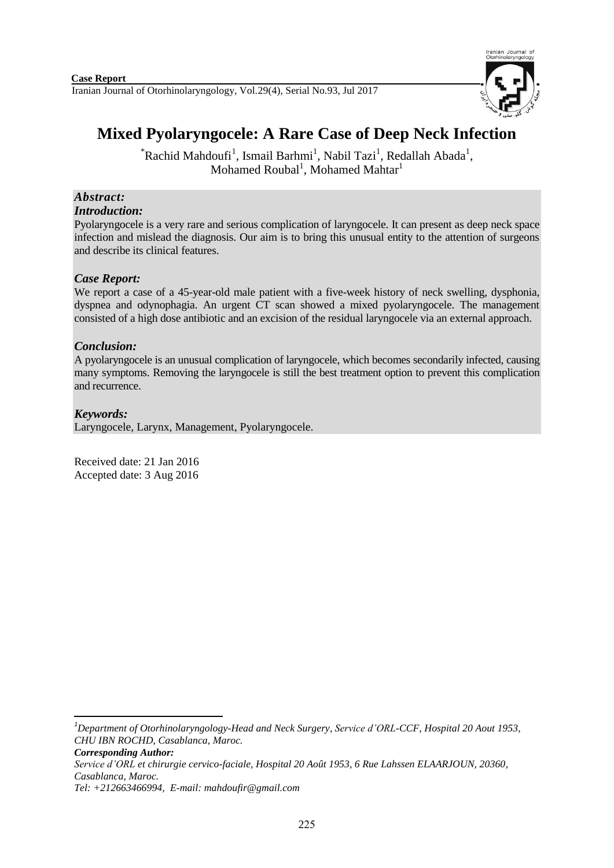

# **Mixed Pyolaryngocele: A Rare Case of Deep Neck Infection**

 $*$ Rachid Mahdoufi<sup>1</sup>, Ismail Barhmi<sup>1</sup>, Nabil Tazi<sup>1</sup>, Redallah Abada<sup>1</sup>, Mohamed Roubal<sup>1</sup>, Mohamed Mahtar<sup>1</sup>

#### *Abstract: Introduction:*

Pyolaryngocele is a very rare and serious complication of laryngocele. It can present as deep neck space infection and mislead the diagnosis. Our aim is to bring this unusual entity to the attention of surgeons and describe its clinical features.

# *Case Report:*

We report a case of a 45-year-old male patient with a five-week history of neck swelling, dysphonia, dyspnea and odynophagia. An urgent CT scan showed a mixed pyolaryngocele. The management consisted of a high dose antibiotic and an excision of the residual laryngocele via an external approach.

## *Conclusion:*

A pyolaryngocele is an unusual complication of laryngocele, which becomes secondarily infected, causing many symptoms. Removing the laryngocele is still the best treatment option to prevent this complication and recurrence.

# *Keywords:*

**.** 

Laryngocele, Larynx, Management, Pyolaryngocele.

Received date: 21 Jan 2016 Accepted date: 3 Aug 2016

*<sup>1</sup>Department of Otorhinolaryngology-Head and Neck Surgery, Service d'ORL-CCF, Hospital 20 Aout 1953, CHU IBN ROCHD, Casablanca, Maroc.*

*Corresponding Author: Service d'ORL et chirurgie cervico-faciale, Hospital 20 Août 1953, 6 Rue Lahssen ELAARJOUN, 20360, Casablanca, Maroc.*

*Tel: +212663466994, E-mail: mahdoufir@gmail.com*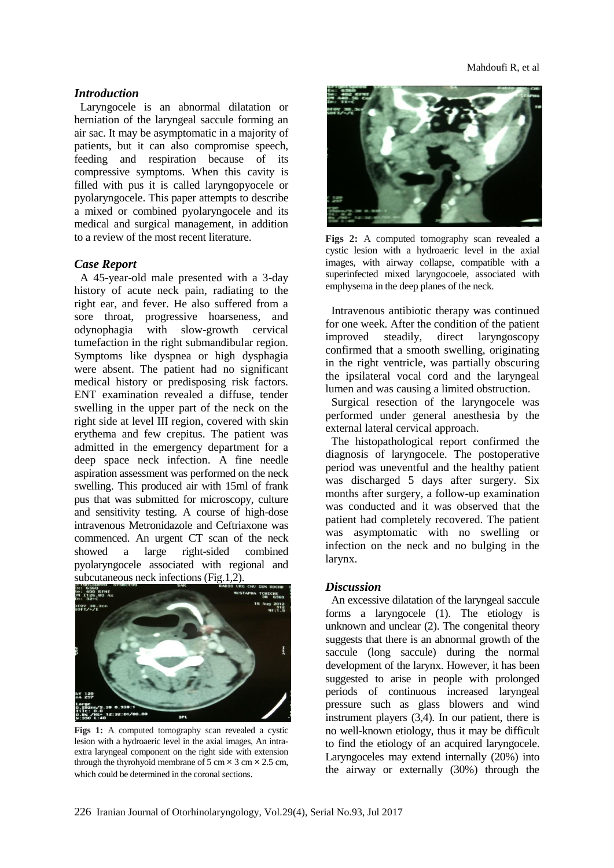#### *Introduction*

Laryngocele is an abnormal dilatation or herniation of the laryngeal saccule forming an air sac. It may be asymptomatic in a majority of patients, but it can also compromise speech, feeding and respiration because of its compressive symptoms. When this cavity is filled with pus it is called laryngopyocele or pyolaryngocele. This paper attempts to describe a mixed or combined pyolaryngocele and its medical and surgical management, in addition to a review of the most recent literature.

#### *Case Report*

A 45-year-old male presented with a 3-day history of acute neck pain, radiating to the right ear, and fever. He also suffered from a sore throat, progressive hoarseness, and odynophagia with slow-growth cervical tumefaction in the right submandibular region. Symptoms like dyspnea or high dysphagia were absent. The patient had no significant medical history or predisposing risk factors. ENT examination revealed a diffuse, tender swelling in the upper part of the neck on the right side at level III region, covered with skin erythema and few crepitus. The patient was admitted in the emergency department for a deep space neck infection. A fine needle aspiration assessment was performed on the neck swelling. This produced air with 15ml of frank pus that was submitted for microscopy, culture and sensitivity testing. A course of high-dose intravenous Metronidazole and Ceftriaxone was commenced. An urgent CT scan of the neck showed a large right-sided combined pyolaryngocele associated with regional and subcutaneous neck infections (Fig.1,2).



Figs 1: A computed tomography scan revealed a cystic lesion with a hydroaeric level in the axial images, An intraextra laryngeal component on the right side with extension through the thyrohyoid membrane of  $5 \text{ cm} \times 3 \text{ cm} \times 2.5 \text{ cm}$ . which could be determined in the coronal sections.



**Figs 2:** A computed tomography scan revealed a cystic lesion with a hydroaeric level in the axial images, with airway collapse, compatible with a superinfected mixed laryngocoele, associated with emphysema in the deep planes of the neck.

Intravenous antibiotic therapy was continued for one week. After the condition of the patient improved steadily, direct laryngoscopy confirmed that a smooth swelling, originating in the right ventricle, was partially obscuring the ipsilateral vocal cord and the laryngeal lumen and was causing a limited obstruction.

Surgical resection of the laryngocele was performed under general anesthesia by the external lateral cervical approach.

The histopathological report confirmed the diagnosis of laryngocele. The postoperative period was uneventful and the healthy patient was discharged 5 days after surgery. Six months after surgery, a follow-up examination was conducted and it was observed that the patient had completely recovered. The patient was asymptomatic with no swelling or infection on the neck and no bulging in the larynx.

#### *Discussion*

An excessive dilatation of the laryngeal saccule forms a laryngocele (1). The etiology is unknown and unclear (2). The congenital theory suggests that there is an abnormal growth of the saccule (long saccule) during the normal development of the larynx. However, it has been suggested to arise in people with prolonged periods of continuous increased laryngeal pressure such as glass blowers and wind instrument players (3,4). In our patient, there is no well-known etiology, thus it may be difficult to find the etiology of an acquired laryngocele. Laryngoceles may extend internally (20%) into the airway or externally (30%) through the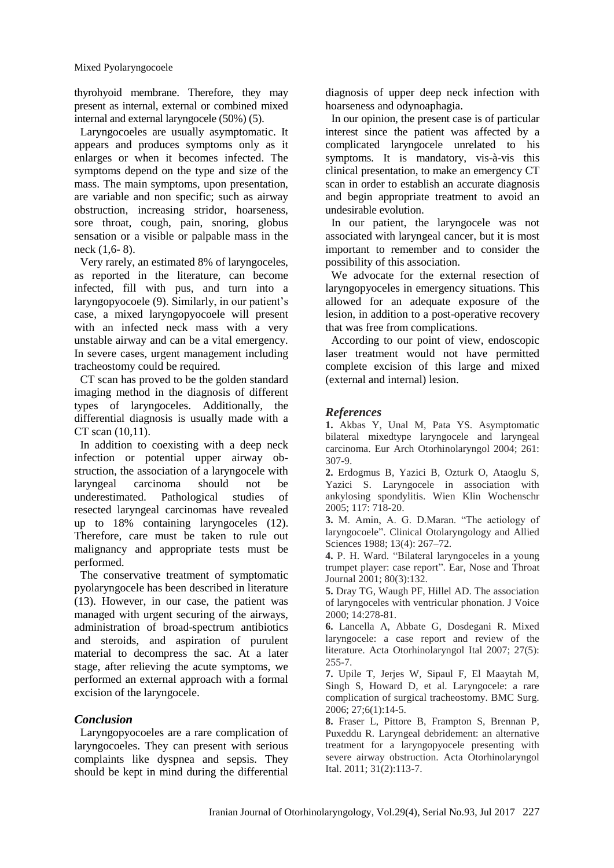thyrohyoid membrane. Therefore, they may present as internal, external or combined mixed internal and external laryngocele (50%) (5).

Laryngocoeles are usually asymptomatic. It appears and produces symptoms only as it enlarges or when it becomes infected. The symptoms depend on the type and size of the mass. The main symptoms, upon presentation, are variable and non specific; such as airway obstruction, increasing stridor, hoarseness, sore throat, cough, pain, snoring, globus sensation or a visible or palpable mass in the neck (1,6- 8).

Very rarely, an estimated 8% of laryngoceles, as reported in the literature, can become infected, fill with pus, and turn into a laryngopyocoele (9). Similarly, in our patient's case, a mixed laryngopyocoele will present with an infected neck mass with a very unstable airway and can be a vital emergency. In severe cases, urgent management including tracheostomy could be required.

CT scan has proved to be the golden standard imaging method in the diagnosis of different types of laryngoceles. Additionally, the differential diagnosis is usually made with a CT scan (10,11).

In addition to coexisting with a deep neck infection or potential upper airway obstruction, the association of a laryngocele with laryngeal carcinoma should not be underestimated. Pathological studies of resected laryngeal carcinomas have revealed up to 18% containing laryngoceles (12). Therefore, care must be taken to rule out malignancy and appropriate tests must be performed.

The conservative treatment of symptomatic pyolaryngocele has been described in literature (13). However, in our case, the patient was managed with urgent securing of the airways, administration of broad-spectrum antibiotics and steroids, and aspiration of purulent material to decompress the sac. At a later stage, after relieving the acute symptoms, we performed an external approach with a formal excision of the laryngocele.

### *Conclusion*

Laryngopyocoeles are a rare complication of laryngocoeles. They can present with serious complaints like dyspnea and sepsis. They should be kept in mind during the differential diagnosis of upper deep neck infection with hoarseness and odynoaphagia.

In our opinion, the present case is of particular interest since the patient was affected by a complicated laryngocele unrelated to his symptoms. It is mandatory, vis-à-vis this clinical presentation, to make an emergency CT scan in order to establish an accurate diagnosis and begin appropriate treatment to avoid an undesirable evolution.

In our patient, the laryngocele was not associated with laryngeal cancer, but it is most important to remember and to consider the possibility of this association.

We advocate for the external resection of laryngopyoceles in emergency situations. This allowed for an adequate exposure of the lesion, in addition to a post-operative recovery that was free from complications.

According to our point of view, endoscopic laser treatment would not have permitted complete excision of this large and mixed (external and internal) lesion.

## *References*

**1.** Akbas Y, Unal M, Pata YS. Asymptomatic bilateral mixedtype laryngocele and laryngeal carcinoma. Eur Arch Otorhinolaryngol 2004; 261: 307-9.

**2.** Erdogmus B, Yazici B, Ozturk O, Ataoglu S, Yazici S. Laryngocele in association with ankylosing spondylitis. Wien Klin Wochenschr 2005; 117: 718-20.

**3.** M. Amin, A. G. D.Maran. "The aetiology of laryngocoele". Clinical Otolaryngology and Allied Sciences 1988; 13(4): 267–72.

**4.** P. H. Ward. "Bilateral laryngoceles in a young trumpet player: case report". Ear, Nose and Throat Journal 2001; 80(3):132.

**5.** Dray TG, Waugh PF, Hillel AD. The association of laryngoceles with ventricular phonation. J Voice 2000; 14:278-81.

**6.** Lancella A, Abbate G, Dosdegani R. Mixed laryngocele: a case report and review of the literature. Acta Otorhinolaryngol Ital 2007; 27(5): 255-7.

**7.** Upile T, Jerjes W, Sipaul F, El Maaytah M, Singh S, Howard D, et al. Laryngocele: a rare complication of surgical tracheostomy. BMC Surg. 2006; 27;6(1):14-5.

**8.** Fraser L, Pittore B, Frampton S, Brennan P, Puxeddu R. Laryngeal debridement: an alternative treatment for a laryngopyocele presenting with severe airway obstruction. Acta Otorhinolaryngol Ital. 2011; 31(2):113-7.